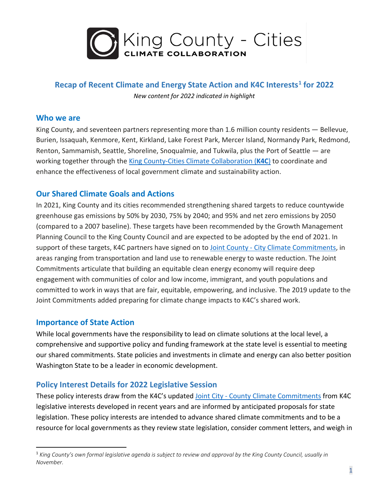

## **Recap of Recent Climate and Energy State Action and K4C Interests[1](#page-0-0) for 2022**

*New content for 2022 indicated in highlight*

#### **Who we are**

King County, and seventeen partners representing more than 1.6 million county residents — Bellevue, Burien, Issaquah, Kenmore, Kent, Kirkland, Lake Forest Park, Mercer Island, Normandy Park, Redmond, Renton, Sammamish, Seattle, Shoreline, Snoqualmie, and Tukwila, plus the Port of Seattle — are working together through the [King County-Cities Climate Collaboration \(](http://www.kingcounty.gov/climate/pledge)**K4C**) to coordinate and enhance the effectiveness of local government climate and sustainability action.

## **Our Shared Climate Goals and Actions**

In 2021, King County and its cities recommended strengthening shared targets to reduce countywide greenhouse gas emissions by 50% by 2030, 75% by 2040; and 95% and net zero emissions by 2050 (compared to a 2007 baseline). These targets have been recommended by the Growth Management Planning Council to the King County Council and are expected to be adopted by the end of 2021. In support of these targets, K4C partners have signed on to Joint County - [City Climate Commitments,](https://your.kingcounty.gov/dnrp/library/dnrp-directors-office/climate/joint-commitments-update-with-signatures-final.pdf) in areas ranging from transportation and land use to renewable energy to waste reduction. The Joint Commitments articulate that building an equitable clean energy economy will require deep engagement with communities of color and low income, immigrant, and youth populations and committed to work in ways that are fair, equitable, empowering, and inclusive. The 2019 update to the Joint Commitments added preparing for climate change impacts to K4C's shared work.

## **Importance of State Action**

While local governments have the responsibility to lead on climate solutions at the local level, a comprehensive and supportive policy and funding framework at the state level is essential to meeting our shared commitments. State policies and investments in climate and energy can also better position Washington State to be a leader in economic development.

## **Policy Interest Details for 2022 Legislative Session**

These policy interests draw from the K4C's updated Joint City - [County Climate Commitments](https://your.kingcounty.gov/dnrp/library/dnrp-directors-office/climate/joint-commitments-update-with-signatures-final.pdf) from K4C legislative interests developed in recent years and are informed by anticipated proposals for state legislation. These policy interests are intended to advance shared climate commitments and to be a resource for local governments as they review state legislation, consider comment letters, and weigh in

<span id="page-0-0"></span><sup>1</sup> *King County's own formal legislative agenda is subject to review and approval by the King County Council, usually in November.*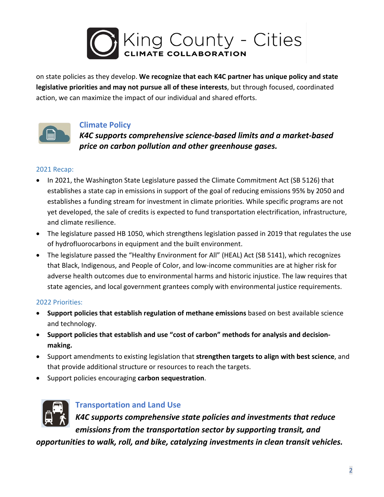

on state policies as they develop. **We recognize that each K4C partner has unique policy and state legislative priorities and may not pursue all of these interests**, but through focused, coordinated action, we can maximize the impact of our individual and shared efforts.



## **Climate Policy**

*K4C supports comprehensive science-based limits and a market-based price on carbon pollution and other greenhouse gases.* 

#### 2021 Recap:

- In 2021, the Washington State Legislature passed the Climate Commitment Act (SB 5126) that establishes a state cap in emissions in support of the goal of reducing emissions 95% by 2050 and establishes a funding stream for investment in climate priorities. While specific programs are not yet developed, the sale of credits is expected to fund transportation electrification, infrastructure, and climate resilience.
- The legislature passed HB 1050, which strengthens legislation passed in 2019 that regulates the use of hydrofluorocarbons in equipment and the built environment.
- The legislature passed the "Healthy Environment for All" (HEAL) Act (SB 5141), which recognizes that Black, Indigenous, and People of Color, and low-income communities are at higher risk for adverse health outcomes due to environmental harms and historic injustice. The law requires that state agencies, and local government grantees comply with environmental justice requirements.

#### 2022 Priorities:

- **Support policies that establish regulation of methane emissions** based on best available science and technology.
- **Support policies that establish and use "cost of carbon" methods for analysis and decisionmaking.**
- Support amendments to existing legislation that **strengthen targets to align with best science**, and that provide additional structure or resources to reach the targets.
- Support policies encouraging **carbon sequestration**.



## **Transportation and Land Use**

*K4C supports comprehensive state policies and investments that reduce emissions from the transportation sector by supporting transit, and* 

*opportunities to walk, roll, and bike, catalyzing investments in clean transit vehicles.*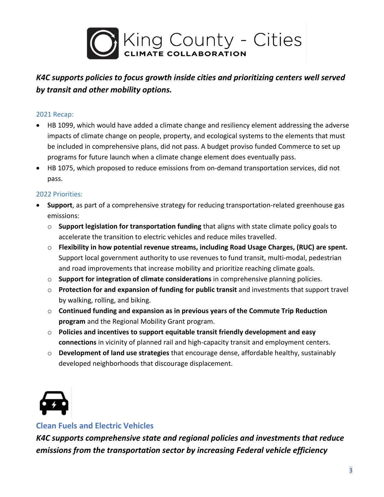

## *K4C supports policies to focus growth inside cities and prioritizing centers well served by transit and other mobility options.*

#### 2021 Recap:

- HB 1099, which would have added a climate change and resiliency element addressing the adverse impacts of climate change on people, property, and ecological systems to the elements that must be included in comprehensive plans, did not pass. A budget proviso funded Commerce to set up programs for future launch when a climate change element does eventually pass.
- HB 1075, which proposed to reduce emissions from on-demand transportation services, did not pass.

#### 2022 Priorities:

- **Support**, as part of a comprehensive strategy for reducing transportation-related greenhouse gas emissions:
	- o **Support legislation for transportation funding** that aligns with state climate policy goals to accelerate the transition to electric vehicles and reduce miles travelled.
	- o **Flexibility in how potential revenue streams, including Road Usage Charges, (RUC) are spent.** Support local government authority to use revenues to fund transit, multi-modal, pedestrian and road improvements that increase mobility and prioritize reaching climate goals.
	- o **Support for integration of climate considerations** in comprehensive planning policies.
	- o **Protection for and expansion of funding for public transit** and investments that support travel by walking, rolling, and biking.
	- o **Continued funding and expansion as in previous years of the Commute Trip Reduction program** and the Regional Mobility Grant program.
	- o **Policies and incentives to support equitable transit friendly development and easy connections** in vicinity of planned rail and high-capacity transit and employment centers.
	- o **Development of land use strategies** that encourage dense, affordable healthy, sustainably developed neighborhoods that discourage displacement.



## **Clean Fuels and Electric Vehicles**

*K4C supports comprehensive state and regional policies and investments that reduce emissions from the transportation sector by increasing Federal vehicle efficiency*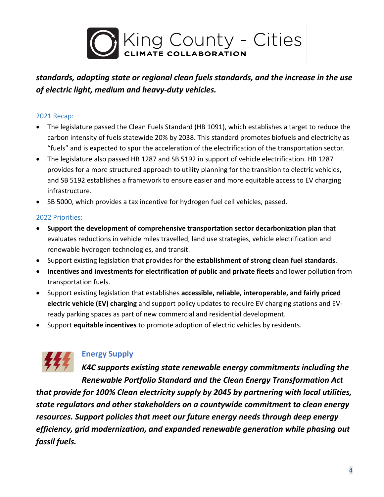

# *standards, adopting state or regional clean fuels standards, and the increase in the use of electric light, medium and heavy-duty vehicles.*

#### 2021 Recap:

- The legislature passed the Clean Fuels Standard (HB 1091), which establishes a target to reduce the carbon intensity of fuels statewide 20% by 2038. This standard promotes biofuels and electricity as "fuels" and is expected to spur the acceleration of the electrification of the transportation sector.
- The legislature also passed HB 1287 and SB 5192 in support of vehicle electrification. HB 1287 provides for a more structured approach to utility planning for the transition to electric vehicles, and SB 5192 establishes a framework to ensure easier and more equitable access to EV charging infrastructure.
- SB 5000, which provides a tax incentive for hydrogen fuel cell vehicles, passed.

#### 2022 Priorities:

- **Support the development of comprehensive transportation sector decarbonization plan** that evaluates reductions in vehicle miles travelled, land use strategies, vehicle electrification and renewable hydrogen technologies, and transit.
- Support existing legislation that provides for **the establishment of strong clean fuel standards**.
- **Incentives and investments for electrification of public and private fleets** and lower pollution from transportation fuels.
- Support existing legislation that establishes **accessible, reliable, interoperable, and fairly priced electric vehicle (EV) charging** and support policy updates to require EV charging stations and EVready parking spaces as part of new commercial and residential development.
- Support **equitable incentives** to promote adoption of electric vehicles by residents.



## **Energy Supply**

*K4C supports existing state renewable energy commitments including the Renewable Portfolio Standard and the Clean Energy Transformation Act* 

*that provide for 100% Clean electricity supply by 2045 by partnering with local utilities, state regulators and other stakeholders on a countywide commitment to clean energy resources. Support policies that meet our future energy needs through deep energy efficiency, grid modernization, and expanded renewable generation while phasing out fossil fuels.*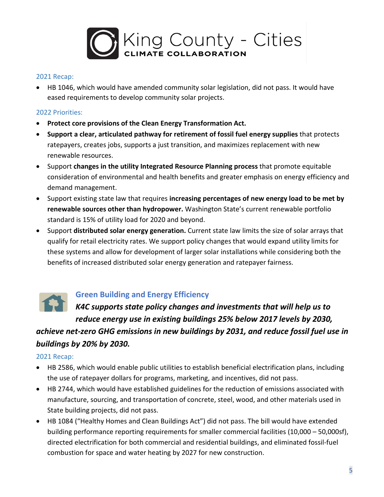

#### 2021 Recap:

• HB 1046, which would have amended community solar legislation, did not pass. It would have eased requirements to develop community solar projects.

#### 2022 Priorities:

- **Protect core provisions of the Clean Energy Transformation Act.**
- **Support a clear, articulated pathway for retirement of fossil fuel energy supplies** that protects ratepayers, creates jobs, supports a just transition, and maximizes replacement with new renewable resources.
- Support **changes in the utility Integrated Resource Planning process** that promote equitable consideration of environmental and health benefits and greater emphasis on energy efficiency and demand management.
- Support existing state law that requires **increasing percentages of new energy load to be met by renewable sources other than hydropower.** Washington State's current renewable portfolio standard is 15% of utility load for 2020 and beyond.
- Support **distributed solar energy generation.** Current state law limits the size of solar arrays that qualify for retail electricity rates. We support policy changes that would expand utility limits for these systems and allow for development of larger solar installations while considering both the benefits of increased distributed solar energy generation and ratepayer fairness.



## **Green Building and Energy Efficiency**

*K4C supports state policy changes and investments that will help us to reduce energy use in existing buildings 25% below 2017 levels by 2030,* 

*achieve net-zero GHG emissions in new buildings by 2031, and reduce fossil fuel use in buildings by 20% by 2030.*

#### 2021 Recap:

- HB 2586, which would enable public utilities to establish beneficial electrification plans, including the use of ratepayer dollars for programs, marketing, and incentives, did not pass.
- HB 2744, which would have established guidelines for the reduction of emissions associated with manufacture, sourcing, and transportation of concrete, steel, wood, and other materials used in State building projects, did not pass.
- HB 1084 ("Healthy Homes and Clean Buildings Act") did not pass. The bill would have extended building performance reporting requirements for smaller commercial facilities (10,000 – 50,000sf), directed electrification for both commercial and residential buildings, and eliminated fossil-fuel combustion for space and water heating by 2027 for new construction.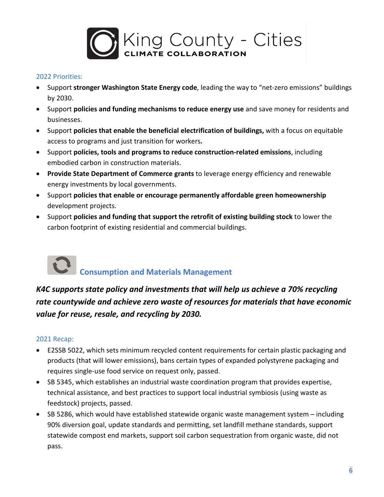

#### 2022 Priorities:

- Support **stronger Washington State Energy code**, leading the way to "net-zero emissions" buildings by 2030.
- Support **policies and funding mechanisms to reduce energy use** and save money for residents and businesses.
- Support **policies that enable the beneficial electrification of buildings,** with a focus on equitable access to programs and just transition for workers**.**
- Support **policies, tools and programs to reduce construction-related emissions**, including embodied carbon in construction materials.
- **Provide State Department of Commerce grants** to leverage energy efficiency and renewable energy investments by local governments.
- Support **policies that enable or encourage permanently affordable green homeownership** development projects.
- Support **policies and funding that support the retrofit of existing building stock** to lower the carbon footprint of existing residential and commercial buildings.

# **Consumption and Materials Management**

# *K4C supports state policy and investments that will help us achieve a 70% recycling rate countywide and achieve zero waste of resources for materials that have economic value for reuse, resale, and recycling by 2030.*

#### 2021 Recap:

- E2SSB 5022, which sets minimum recycled content requirements for certain plastic packaging and products (that will lower emissions), bans certain types of expanded polystyrene packaging and requires single-use food service on request only, passed.
- SB 5345, which establishes an industrial waste coordination program that provides expertise, technical assistance, and best practices to support local industrial symbiosis (using waste as feedstock) projects, passed.
- SB 5286, which would have established statewide organic waste management system including 90% diversion goal, update standards and permitting, set landfill methane standards, support statewide compost end markets, support soil carbon sequestration from organic waste, did not pass.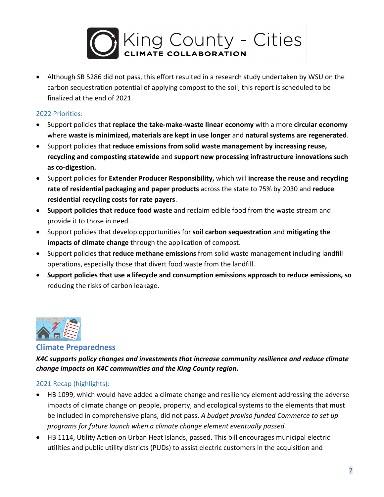

• Although SB 5286 did not pass, this effort resulted in a research study undertaken by WSU on the carbon sequestration potential of applying compost to the soil; this report is scheduled to be finalized at the end of 2021.

#### 2022 Priorities:

- Support policies that **replace the take-make-waste linear economy** with a more **circular economy** where **waste is minimized, materials are kept in use longer** and **natural systems are regenerated**.
- Support policies that **reduce emissions from solid waste management by increasing reuse, recycling and composting statewide** and **support new processing infrastructure innovations such as co-digestion.**
- Support policies for **Extender Producer Responsibility,** which will **increase the reuse and recycling rate of residential packaging and paper products** across the state to 75% by 2030 and **reduce residential recycling costs for rate payers**.
- **Support policies that reduce food waste** and reclaim edible food from the waste stream and provide it to those in need.
- Support policies that develop opportunities for **soil carbon sequestration** and **mitigating the impacts of climate change** through the application of compost.
- Support policies that **reduce methane emissions** from solid waste management including landfill operations, especially those that divert food waste from the landfill.
- **Support policies that use a lifecycle and consumption emissions approach to reduce emissions, so**  reducing the risks of carbon leakage.



#### **Climate Preparedness**

*K4C supports policy changes and investments that increase community resilience and reduce climate change impacts on K4C communities and the King County region.* 

## 2021 Recap (highlights):

- HB 1099, which would have added a climate change and resiliency element addressing the adverse impacts of climate change on people, property, and ecological systems to the elements that must be included in comprehensive plans, did not pass. *A budget proviso funded Commerce to set up programs for future launch when a climate change element eventually passed.*
- HB 1114, Utility Action on Urban Heat Islands, passed. This bill encourages municipal electric utilities and public utility districts (PUDs) to assist electric customers in the acquisition and